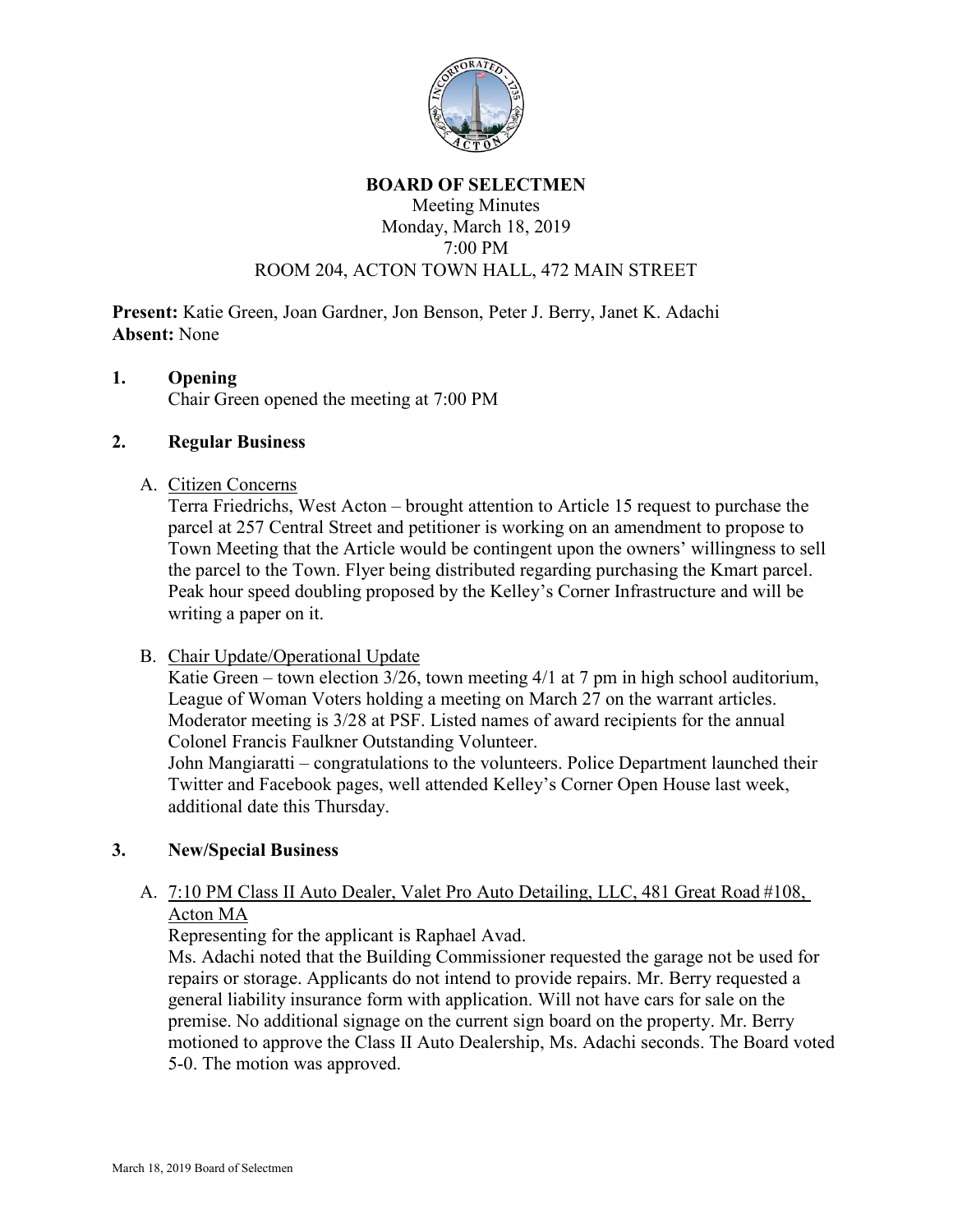

#### **BOARD OF SELECTMEN**

#### Meeting Minutes Monday, March 18, 2019 7:00 PM ROOM 204, ACTON TOWN HALL, 472 MAIN STREET

**Present:** Katie Green, Joan Gardner, Jon Benson, Peter J. Berry, Janet K. Adachi **Absent:** None

# **1. Opening**

Chair Green opened the meeting at 7:00 PM

# **2. Regular Business**

#### A. Citizen Concerns

Terra Friedrichs, West Acton – brought attention to Article 15 request to purchase the parcel at 257 Central Street and petitioner is working on an amendment to propose to Town Meeting that the Article would be contingent upon the owners' willingness to sell the parcel to the Town. Flyer being distributed regarding purchasing the Kmart parcel. Peak hour speed doubling proposed by the Kelley's Corner Infrastructure and will be writing a paper on it.

# B. Chair Update/Operational Update

Katie Green – town election 3/26, town meeting 4/1 at 7 pm in high school auditorium, League of Woman Voters holding a meeting on March 27 on the warrant articles. Moderator meeting is 3/28 at PSF. Listed names of award recipients for the annual Colonel Francis Faulkner Outstanding Volunteer.

John Mangiaratti – congratulations to the volunteers. Police Department launched their Twitter and Facebook pages, well attended Kelley's Corner Open House last week, additional date this Thursday.

# **3. New/Special Business**

# A. 7:10 PM Class II Auto Dealer, Valet Pro Auto Detailing, LLC, 481 Great Road #108, Acton MA

Representing for the applicant is Raphael Avad.

Ms. Adachi noted that the Building Commissioner requested the garage not be used for repairs or storage. Applicants do not intend to provide repairs. Mr. Berry requested a general liability insurance form with application. Will not have cars for sale on the premise. No additional signage on the current sign board on the property. Mr. Berry motioned to approve the Class II Auto Dealership, Ms. Adachi seconds. The Board voted 5-0. The motion was approved.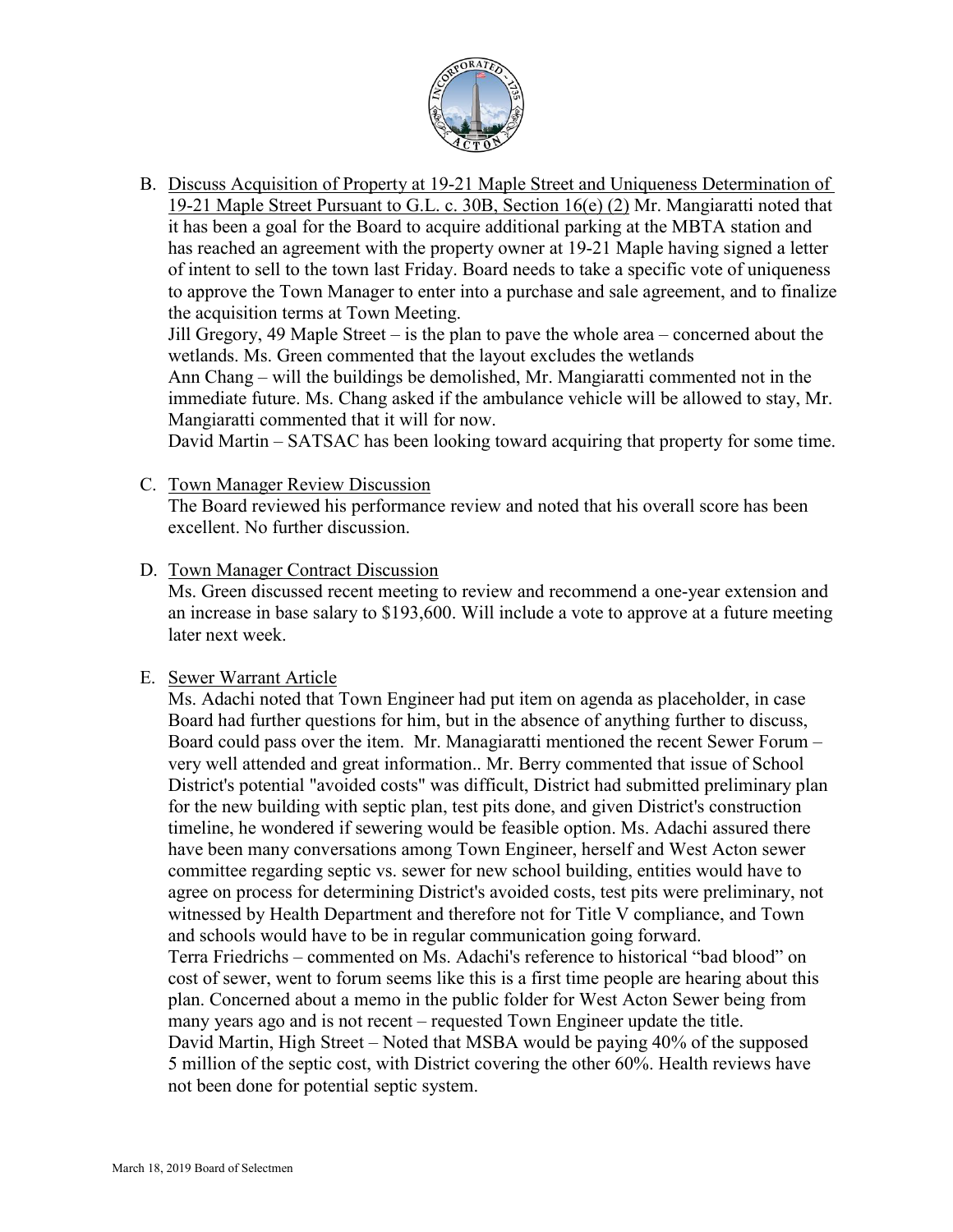

B. Discuss Acquisition of Property at 19-21 Maple Street and Uniqueness Determination of 19-21 Maple Street Pursuant to G.L. c. 30B, Section 16(e) (2) Mr. Mangiaratti noted that it has been a goal for the Board to acquire additional parking at the MBTA station and has reached an agreement with the property owner at 19-21 Maple having signed a letter of intent to sell to the town last Friday. Board needs to take a specific vote of uniqueness to approve the Town Manager to enter into a purchase and sale agreement, and to finalize the acquisition terms at Town Meeting.

Jill Gregory, 49 Maple Street – is the plan to pave the whole area – concerned about the wetlands. Ms. Green commented that the layout excludes the wetlands

Ann Chang – will the buildings be demolished, Mr. Mangiaratti commented not in the immediate future. Ms. Chang asked if the ambulance vehicle will be allowed to stay, Mr. Mangiaratti commented that it will for now.

David Martin – SATSAC has been looking toward acquiring that property for some time.

C. Town Manager Review Discussion

The Board reviewed his performance review and noted that his overall score has been excellent. No further discussion.

D. Town Manager Contract Discussion

Ms. Green discussed recent meeting to review and recommend a one-year extension and an increase in base salary to \$193,600. Will include a vote to approve at a future meeting later next week.

# E. Sewer Warrant Article

Ms. Adachi noted that Town Engineer had put item on agenda as placeholder, in case Board had further questions for him, but in the absence of anything further to discuss, Board could pass over the item. Mr. Managiaratti mentioned the recent Sewer Forum – very well attended and great information.. Mr. Berry commented that issue of School District's potential "avoided costs" was difficult, District had submitted preliminary plan for the new building with septic plan, test pits done, and given District's construction timeline, he wondered if sewering would be feasible option. Ms. Adachi assured there have been many conversations among Town Engineer, herself and West Acton sewer committee regarding septic vs. sewer for new school building, entities would have to agree on process for determining District's avoided costs, test pits were preliminary, not witnessed by Health Department and therefore not for Title V compliance, and Town and schools would have to be in regular communication going forward. Terra Friedrichs – commented on Ms. Adachi's reference to historical "bad blood" on cost of sewer, went to forum seems like this is a first time people are hearing about this plan. Concerned about a memo in the public folder for West Acton Sewer being from

many years ago and is not recent – requested Town Engineer update the title. David Martin, High Street – Noted that MSBA would be paying 40% of the supposed 5 million of the septic cost, with District covering the other 60%. Health reviews have not been done for potential septic system.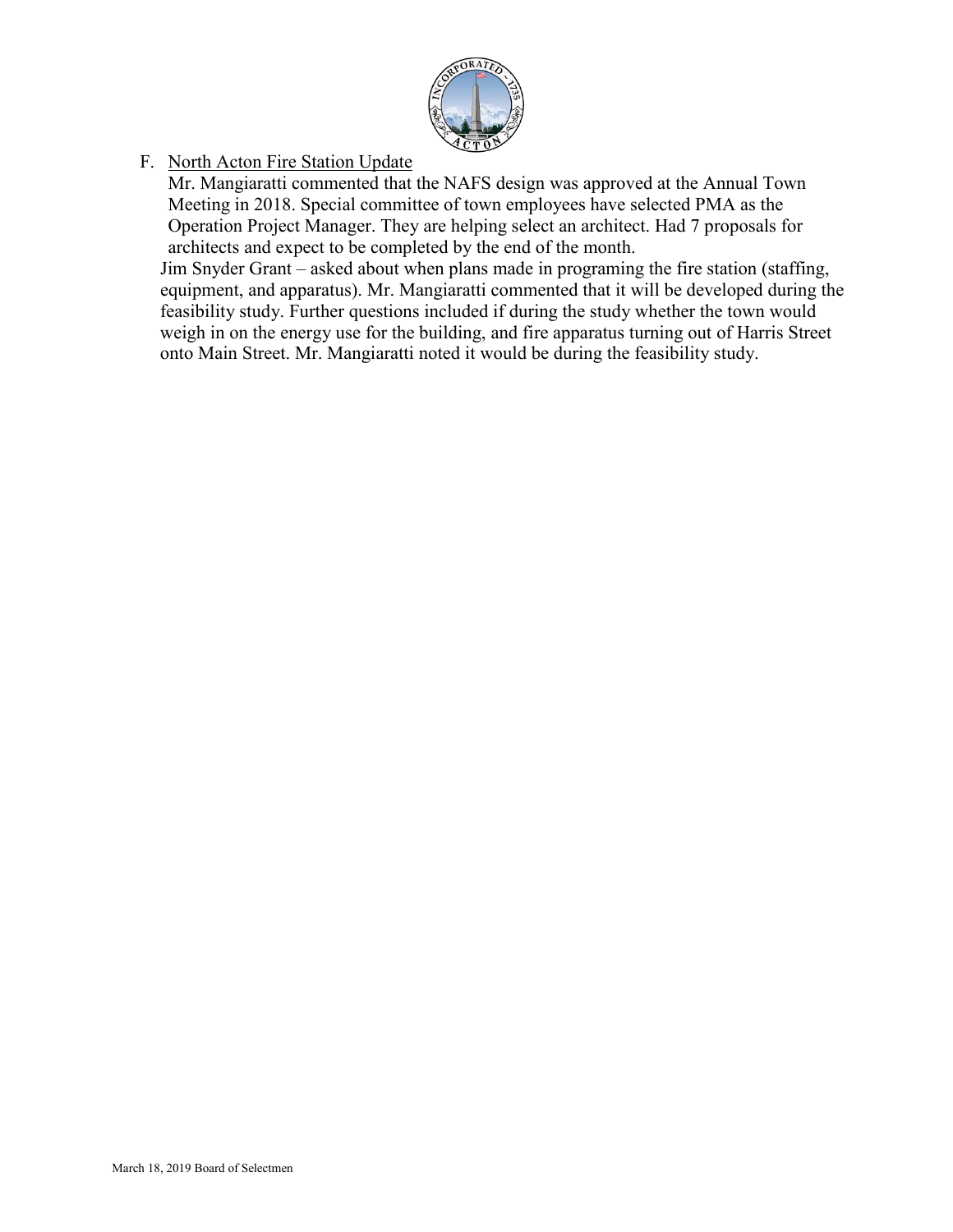

F. North Acton Fire Station Update

Mr. Mangiaratti commented that the NAFS design was approved at the Annual Town Meeting in 2018. Special committee of town employees have selected PMA as the Operation Project Manager. They are helping select an architect. Had 7 proposals for architects and expect to be completed by the end of the month.

Jim Snyder Grant – asked about when plans made in programing the fire station (staffing, equipment, and apparatus). Mr. Mangiaratti commented that it will be developed during the feasibility study. Further questions included if during the study whether the town would weigh in on the energy use for the building, and fire apparatus turning out of Harris Street onto Main Street. Mr. Mangiaratti noted it would be during the feasibility study.